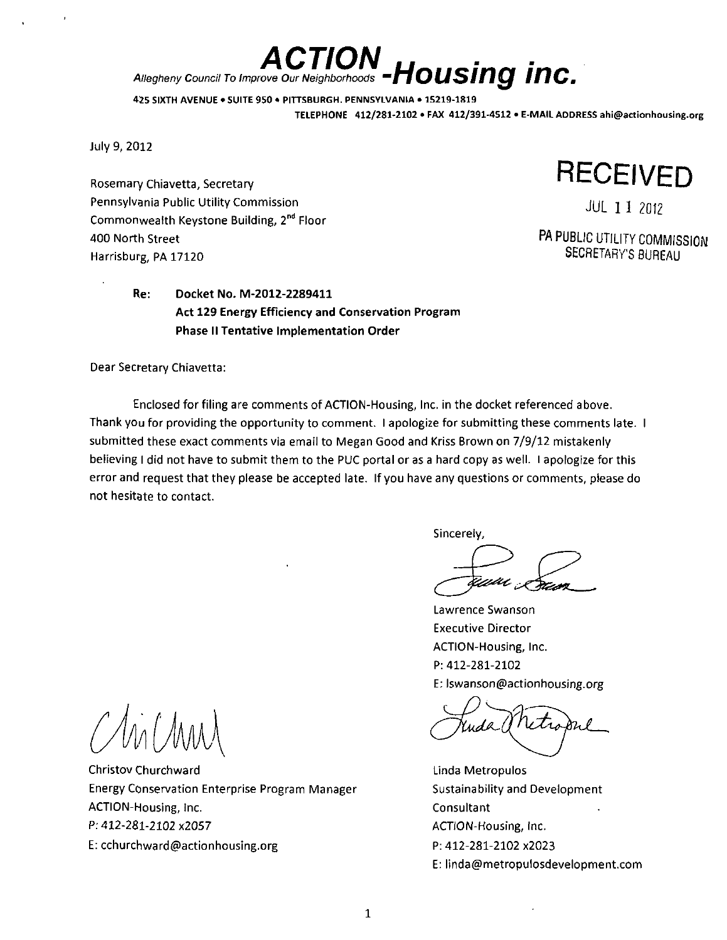# ACTION **Housing inc.** Allegheny Council To improve Our Neighborhoods  $\mathbf{H} \bullet \bullet \bullet \bullet \bullet \bullet \bullet \bullet$

425 SIXTH AVENUE • SUITE 950 \* PITTSBURGH. PENNSYLVANIA • 15219-1819 TELEPHONE 412/281-2102 • FAX 412/391-4512 • E-MAIL ADDRESS ahi@actionhousing.org

July 9, 2012

Rosemary Chiavetta, Secretary Pennsylvania Public Utility Commission Commonwealth Keystone Building, 2<sup>nd</sup> Floor 400 North Street Harrisburg, PA 17120

> Re: Docket No. M-2012-2289411 Act 129 Energy Efficiency and Conservation Program Phase II Tentative Implementation Order

Dear Secretary Chiavetta:

Enclosed for filing are comments of ACTION-Housing, Inc. in the docket referenced above. Thank you for providing the opportunity to comment. I apologize for submitting these comments late. I submitted these exact comments via email to Megan Good and Kriss Brown on 7/9/12 mistakenly believing I did not have to submit them to the PUC portal or as a hard copy as well. I apologize for this error and request that they please be accepted late. If you have any questions or comments, please do not hesitate to contact.

Sincerely,

**RECEIVED** 

JUL 11 2012

PA PUBLIC UTILITY COMMISSION SECRETARY'S BUREAU

Lawrence Swanson Executive Director ACTION-Housing, Inc. P: 412-281-2102 E; lswanson@actionhousing.org

Linda Metropulos Sustainability and Development **Consultant** ACTION-Housing, Inc. P: 412-281-2102 x2023 E: linda@metropulosdevelopment.com

M (MM

Christov Churchward Energy Conservation Enterprise Program Manager ACTION-Housing, Inc. P: 412-281-2102 x2057 E: cchurchward@actionhousing.org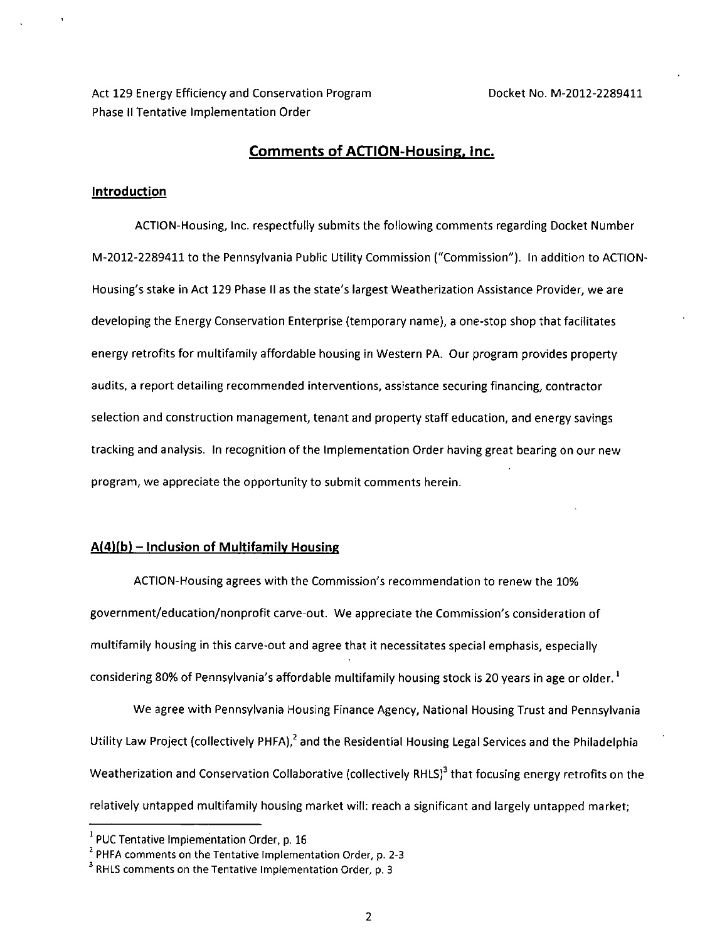Act 129 Energy Efficiency and Conservation Program Docket No. M-2012-2289411 Phase II Tentative Implementation Order

## **Comments of ACTION-Housing, Inc.**

#### **Introduction**

ACTION-Housing, Inc. respectfully submits the following comments regarding Docket Number M-2012-2289411 to the Pennsylvania Public Utility Commission ("Commission"). In addition to ACTION-Housing's stake in Act 129 Phase II as the state's largest Weatherization Assistance Provider, we are developing the Energy Conservation Enterprise (temporary name), a one-stop shop that facilitates energy retrofits for multifamily affordable housing in Western PA. Our program provides property audits, a report detailing recommended interventions, assistance securing financing, contractor selection and construction management, tenant and property staff education, and energy savings tracking and analysis. In recognition of the Implementation Order having great bearing on our new program, we appreciate the opportunity to submit comments herein.

## **A(4)fb) - Inclusion of Multifamily Housing**

ACTION-Housing agrees with the Commission's recommendation to renew the 10% government/education/nonprofit carve-out. We appreciate the Commission's consideration of multifamily housing in this carve-out and agree that it necessitates special emphasis, especially considering 80% of Pennsylvania's affordable multifamily housing stock is 20 years in age or older.<sup>1</sup>

We agree with Pennsylvania Housing Finance Agency, National Housing Trust and Pennsylvania Utility Law Project (collectively PHFA),<sup>2</sup> and the Residential Housing Legal Services and the Philadelphia Weatherization and Conservation Collaborative (collectively RHLS)<sup>3</sup> that focusing energy retrofits on the relatively untapped multifamily housing market will: reach a significant and largely untapped market;

<sup>1</sup> PUC Tentative Implementation Order, p. 16

<sup>2</sup> PHFA comments on the Tentative Implementation Order, p. 2-3

<sup>3</sup> RHLS comments on the Tentative Implementation Order, p. 3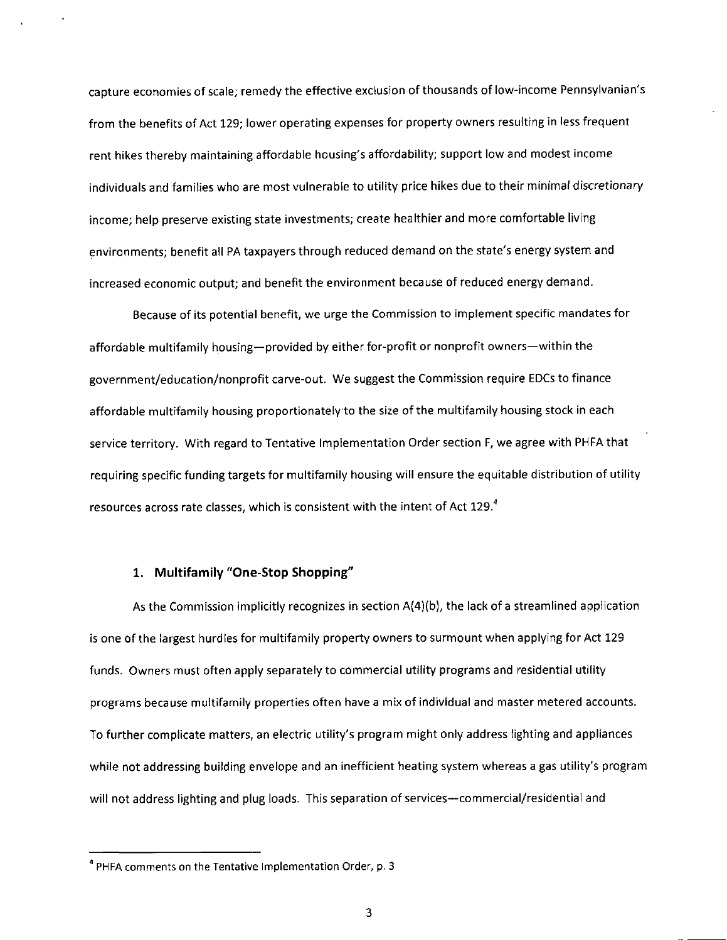capture economies of scale; remedy the effective exclusion of thousands of low-income Pennsylvanian's from the benefits of Act 129; lower operating expenses for property owners resulting in less frequent rent hikes thereby maintaining affordable housing's affordability; support low and modest income individuals and families who are most vulnerable to utility price hikes due to their minimal discretionary income; help preserve existing state investments; create healthier and more comfortable living environments; benefit all PA taxpayers through reduced demand on the state's energy system and increased economic output; and benefit the environment because of reduced energy demand.

Because of its potential benefit, we urge the Commission to implement specific mandates for affordable multifamily housing—provided by either for-profit or nonprofit owners—within the government/education/nonprofit carve-out. We suggest the Commission require EDCs to finance affordable multifamily housing proportionately to the size of the multifamily housing stock in each service territory. With regard to Tentative Implementation Order section F, we agree with PHFA that requiring specific funding targets for multifamily housing will ensure the equitable distribution of utility resources across rate classes, which is consistent with the intent of Act 129. $<sup>4</sup>$ </sup>

## **1. Multifamily "One-Stop Shopping"**

As the Commission implicitly recognizes in section A{4)(b), the lack of a streamlined application is one of the largest hurdles for multifamily property owners to surmount when applying for Act 129 funds. Owners must often apply separately to commercial utility programs and residential utility programs because multifamily properties often have a mix of individual and master metered accounts. To further complicate matters, an electric utility's program might only address lighting and appliances while not addressing building envelope and an inefficient heating system whereas a gas utility's program will not address lighting and plug loads. This separation of services—commercial/residential and

 $4$  PHFA comments on the Tentative Implementation Order, p. 3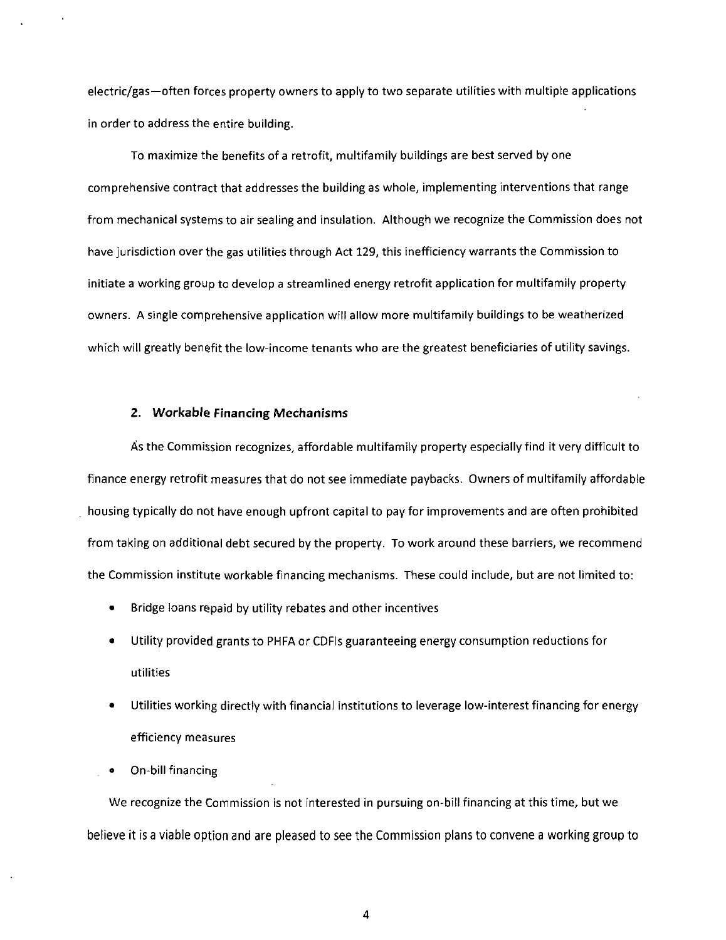electric/gas—often forces property owners to apply to two separate utilities with multiple applications in order to address the entire building.

To maximize the benefits of a retrofit, multifamily buildings are best served by one comprehensive contract that addresses the building as whole, implementing interventions that range from mechanical systems to air sealing and insulation. Although we recognize the Commission does not have jurisdiction over the gas utilities through Act 129, this inefficiency warrants the Commission to initiate a working group to develop a streamlined energy retrofit application for multifamily property owners. A single comprehensive application will allow more multifamily buildings to be weatherized which will greatly benefit the low-income tenants who are the greatest beneficiaries of utility savings.

#### **2. Workable Financing Mechanisms**

As the Commission recognizes, affordable multifamily property especially find it very difficult to finance energy retrofit measures that do not see immediate paybacks. Owners of multifamily affordable housing typically do not have enough upfront capital to pay for improvements and are often prohibited from taking on additional debt secured by the property. To work around these barriers, we recommend the Commission institute workable financing mechanisms. These could include, but are not limited to:

- Bridge loans repaid by utility rebates and other incentives
- Utility provided grants to PHFA or CDFIs guaranteeing energy consumption reductions for utilities
- Utilities working directly with financial institutions to leverage low-interest financing for energy efficiency measures
- On-bill financing

We recognize the Commission is not interested in pursuing on-bill financing at this time, but we believe it is a viable option and are pleased to see the Commission plans to convene a working group to

4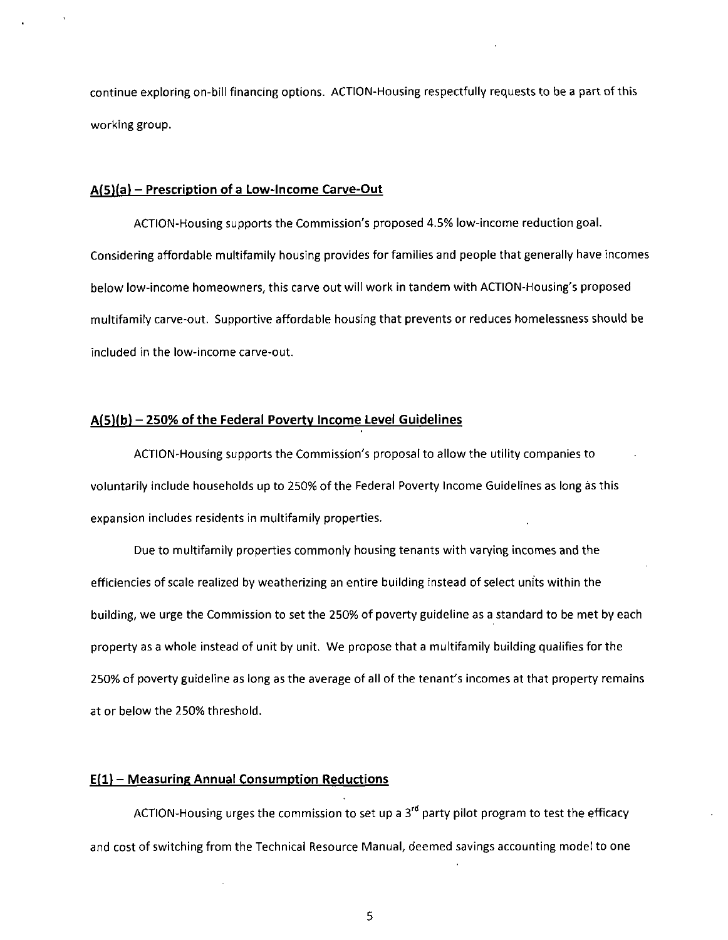continue exploring on-bill financing options. ACTION-Housing respectfully requests to be a part of this working group.

#### **AfSUa) - Prescription of a Low-Income Carve-Out**

ACTION-Housing supports the Commission's proposed 4.5% low-income reduction goal. Considering affordable multifamily housing provides for families and people that generally have incomes below low-income homeowners, this carve out will work in tandem with ACTION-Housing's proposed multifamily carve-out. Supportive affordable housing that prevents or reduces homelessness should be included in the low-income carve-out.

#### **Af 5)f b) - 250% of the Federal Poverty Income Level Guidelines**

ACTION-Housing supports the Commission's proposal to allow the utility companies to voluntarily include households up to 250% of the Federal Poverty Income Guidelines as long as this expansion includes residents in multifamily properties.

Due to multifamily properties commonly housing tenants with varying incomes and the efficiencies of scale realized by weatherizing an entire building instead of select units within the building, we urge the Commission to set the 250% of poverty guideline as a standard to be met by each property as a whole instead of unit by unit. We propose that a multifamily building qualifies for the 250% of poverty guideline as long as the average of all of the tenant's incomes at that property remains at or below the 250% threshold.

## **Efl) - Measuring Annual Consumption Reductions**

ACTION-Housing urges the commission to set up a 3<sup>rd</sup> party pilot program to test the efficacy and cost of switching from the Technical Resource Manual, deemed savings accounting model to one

5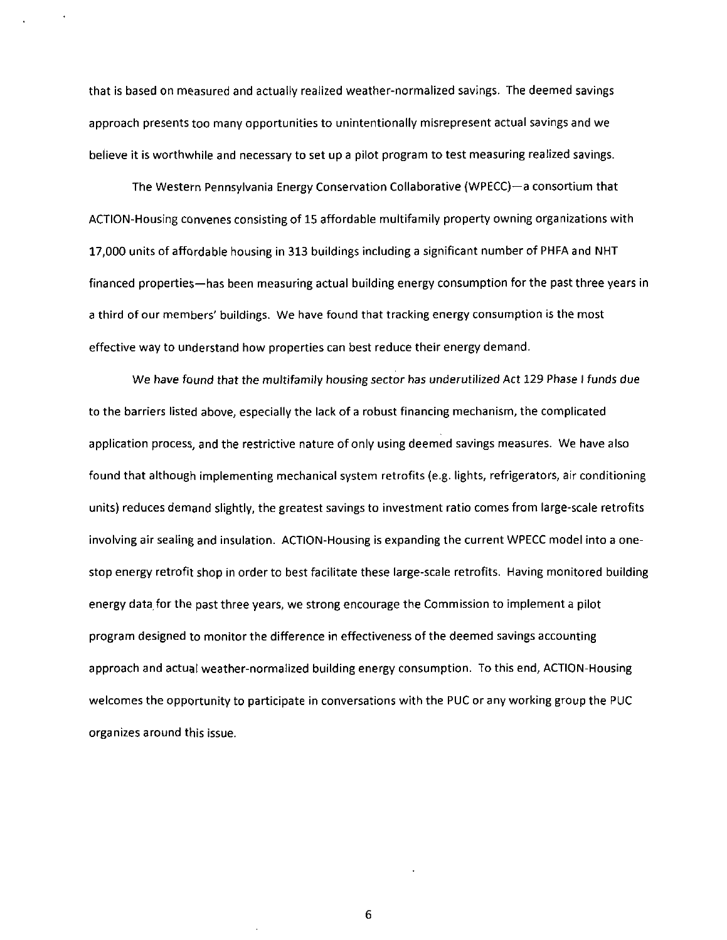that is based on measured and actually realized weather-normalized savings. The deemed savings approach presents too many opportunities to unintentionally misrepresent actual savings and we believe it is worthwhile and necessary to set up a pilot program to test measuring realized savings.

The Western Pennsylvania Energy Conservation Collaborative (WPECC)—a consortium that ACTION-Housing convenes consisting of 15 affordable multifamily property owning organizations with 17,000 units of affordable housing in 313 buildings including a significant number of PHFA and NHT financed properties—has been measuring actual building energy consumption for the past three years in a third of our members' buildings. We have found that tracking energy consumption is the most effective way to understand how properties can best reduce their energy demand.

We have found that the multifamily housing sector has underutilized Act 129 Phase I funds due to the barriers listed above, especially the lack of a robust financing mechanism, the complicated application process, and the restrictive nature of only using deemed savings measures. We have also found that although implementing mechanical system retrofits (e.g. lights, refrigerators, air conditioning units) reduces demand slightly, the greatest savings to investment ratio comes from large-scale retrofits involving air sealing and insulation. ACTION-Housing is expanding the current WPECC model into a onestop energy retrofit shop in order to best facilitate these large-scale retrofits. Having monitored building energy data for the past three years, we strong encourage the Commission to implement a pilot program designed to monitor the difference in effectiveness of the deemed savings accounting approach and actual weather-normalized building energy consumption. To this end, ACTION-Housing welcomes the opportunity to participate in conversations with the PUC or any working group the PUC organizes around this issue.

6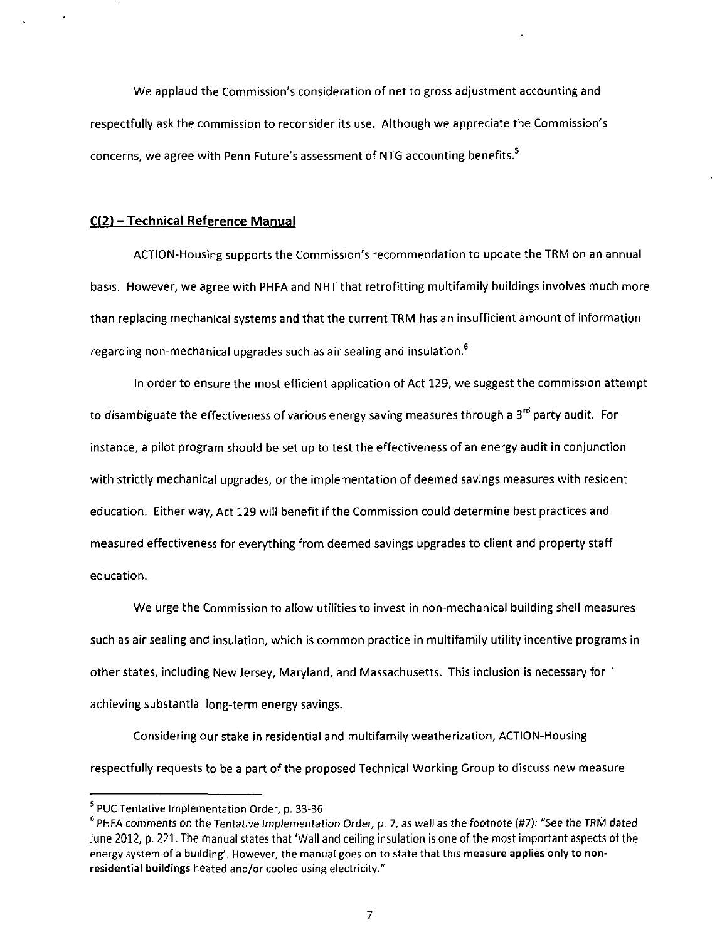We applaud the Commission's consideration of net to gross adjustment accounting and respectfully ask the commission to reconsider its use. Although we appreciate the Commission's concerns, we agree with Penn Future's assessment of NTG accounting benefits.<sup>5</sup>

## **C(2) -Technical Reference Manual**

ACTION-Housing supports the Commission's recommendation to update the TRM on an annual basis. However, we agree with PHFA and NHT that retrofitting multifamily buildings involves much more than replacing mechanical systems and that the current TRM has an insufficient amount of information regarding non-mechanical upgrades such as air sealing and insulation.<sup>6</sup>

In order to ensure the most efficient application of Act 129, we suggest the commission attempt to disambiguate the effectiveness of various energy saving measures through a 3'" party audit. For instance, a pilot program should be set up to test the effectiveness of an energy audit in conjunction with strictly mechanical upgrades, or the implementation of deemed savings measures with resident education. Either way, Act 129 will benefit if the Commission could determine best practices and measured effectiveness for everything from deemed savings upgrades to client and property staff education.

We urge the Commission to allow utilities to invest in non-mechanical building shell measures such as air sealing and insulation, which is common practice in multifamily utility incentive programs in other states, including New Jersey, Maryland, and Massachusetts. This inclusion is necessary for achieving substantial long-term energy savings.

Considering our stake in residential and multifamily weatherization, ACTION-Housing respectfully requests to be a part of the proposed Technical Working Group to discuss new measure

<sup>5</sup> PUC Tentative Implementation Order, p. 33-36

<sup>6</sup> PHFA comments on the Tentative Implementation Order, p. 7, as well as the footnote (#7): "See the TRM dated June 2012, p. 221. The manual states that 'Wall and ceiling insulation is one of the most important aspects of the energy system of a building'. However, the manual goes on to state that this measure applies only to nonresidential buildings heated and/or cooled using electricity."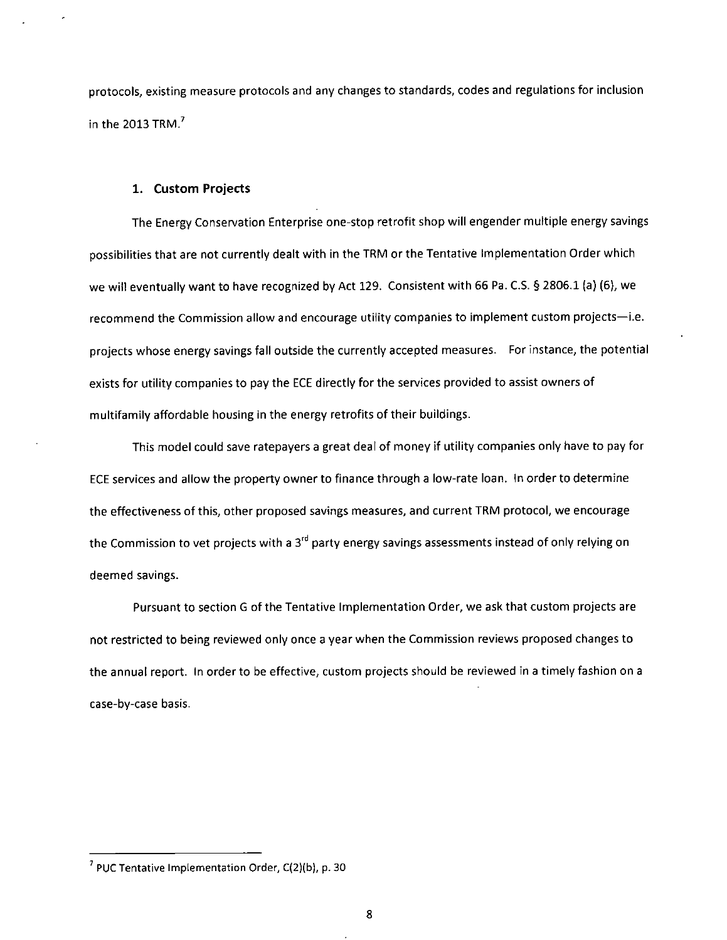protocols, existing measure protocols and any changes to standards, codes and regulations for inclusion in the 2013 TRM. $<sup>7</sup>$ </sup>

#### **1. Custom Projects**

The Energy Conservation Enterprise one-stop retrofit shop will engender multiple energy savings possibilities that are not currently dealt with in the TRM or the Tentative Implementation Order which we will eventually want to have recognized by Act 129. Consistent with 66 Pa. C.S. § 2806.1 (a) (6), we recommend the Commission allow and encourage utility companies to implement custom projects—i.e. projects whose energy savings fall outside the currently accepted measures. For instance, the potential exists for utility companies to pay the ECE directly for the services provided to assist owners of multifamily affordable housing in the energy retrofits of their buildings.

This model could save ratepayers a great deal of money if utility companies only have to pay for ECE services and allow the property owner to finance through a low-rate loan. In order to determine the effectiveness of this, other proposed savings measures, and current TRM protocol, we encourage the Commission to vet projects with a 3<sup>rd</sup> party energy savings assessments instead of only relying on deemed savings.

Pursuant to section G of the Tentative Implementation Order, we ask that custom projects are not restricted to being reviewed only once a year when the Commission reviews proposed changes to the annual report. In order to be effective, custom projects should be reviewed in a timely fashion on a case-by-case basis.

<sup>7</sup> PUC Tentative Implementation Order, C(2)(b), p. 30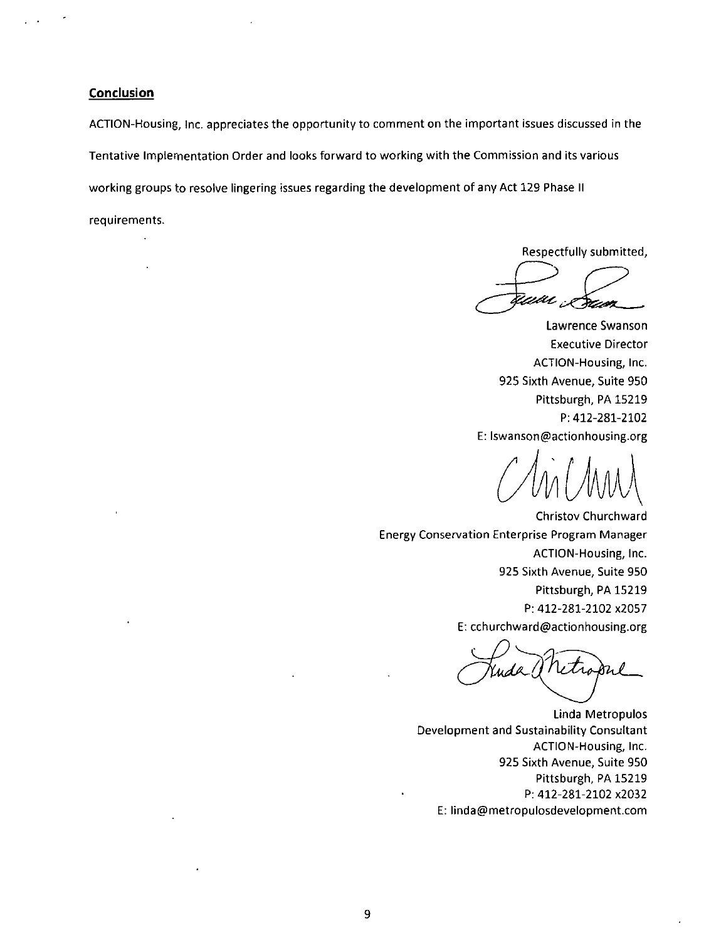**Conclusion** 

ACTION-Housing, inc. appreciates the opportunity to comment on the important issues discussed in the Tentative Implementation Order and looks forward to working with the Commission and its various working groups to resolve lingering issues regarding the development of any Act 129 Phase II

requirements.

Respectfully submitted,

.<br>ww Pázan

Lawrence Swanson Executive Director ACTION-Housing, Inc. 925 Sixth Avenue, Suite 950 Pittsburgh, PA 15219 P: 412-281-2102 E: lswanson@actionhousing.org

 $\vee$ 

Christov Churchward Energy Conservation Enterprise Program Manager ACTION-Housing, Inc. 925 Sixth Avenue, Suite 950 Pittsburgh, PA 15219 P: 412-281-2102 x2057 E: cchurchward@actionhousing.org

Linda Metropulos Development and Sustainability Consultant ACTION-Housing, Inc. 925 Sixth Avenue, Suite 950 Pittsburgh, PA 15219 P: 412-281-2102 x2032 E: linda@metropulosdevelopment.com